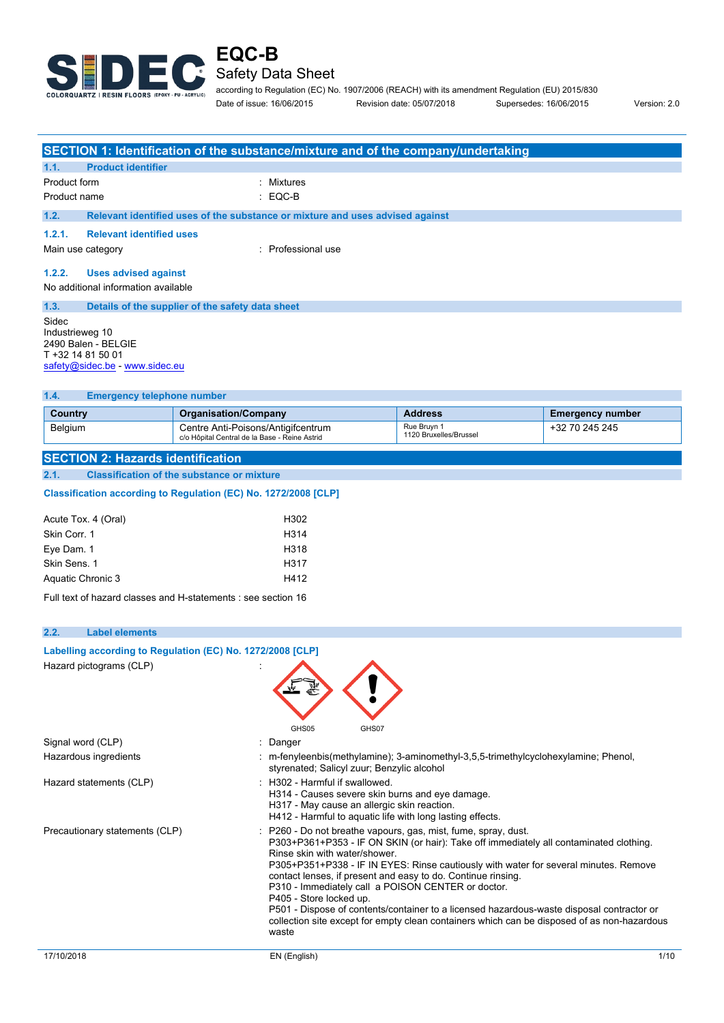

### Safety Data Sheet

according to Regulation (EC) No. 1907/2006 (REACH) with its amendment Regulation (EU) 2015/830 Date of issue: 16/06/2015 Revision date: 05/07/2018 Supersedes: 16/06/2015 Version: 2.0

**SECTION 1: Identification of the substance/mixture and of the company/undertaking 1.1. Product identifier** Product form : Nixtures Product name : EQC-B **1.2. Relevant identified uses of the substance or mixture and uses advised against 1.2.1. Relevant identified uses** Main use category **in the set of the COV** and Main use in Professional use **1.2.2. Uses advised against** No additional information available **1.3. Details of the supplier of the safety data sheet** Sidec Industrieweg 10 2490 Balen - BELGIE T +32 14 81 50 01 [safety@sidec.be](mailto:safety@sidec.be) - <www.sidec.eu>

**1.4. Emergency telephone number**

| -1.4.<br><b>Emergency telephone number</b> |                                                                                     |                                       |                         |  |  |
|--------------------------------------------|-------------------------------------------------------------------------------------|---------------------------------------|-------------------------|--|--|
| Country                                    | <b>Organisation/Company</b>                                                         | <b>Address</b>                        | <b>Emergency number</b> |  |  |
| Belgium                                    | Centre Anti-Poisons/Antigifcentrum<br>c/o Hôpital Central de la Base - Reine Astrid | Rue Bruyn 1<br>1120 Bruxelles/Brussel | +32 70 245 245          |  |  |
|                                            |                                                                                     |                                       |                         |  |  |

**SECTION 2: Hazards identification 2.1. Classification of the substance or mixture**

#### Classification according to Regulation (EC) No. 1272/2008 [CLP]

| Acute Tox. 4 (Oral) | H302 |
|---------------------|------|
| Skin Corr. 1        | H314 |
| Eye Dam. 1          | H318 |
| Skin Sens, 1        | H317 |
| Aquatic Chronic 3   | H412 |
|                     |      |

Full text of hazard classes and H-statements : see section 16

**Labelling according to** Regulation (EC) No. 1272/2008 [CLP]

#### **2.2. Label elements**

| Hazard pictograms (CLP)        | GHS05<br>GHS07                                                                                                                                                                                                                                                                                                                                                                                                                                                                                                                                                                                                                       |      |
|--------------------------------|--------------------------------------------------------------------------------------------------------------------------------------------------------------------------------------------------------------------------------------------------------------------------------------------------------------------------------------------------------------------------------------------------------------------------------------------------------------------------------------------------------------------------------------------------------------------------------------------------------------------------------------|------|
| Signal word (CLP)              | : Danger                                                                                                                                                                                                                                                                                                                                                                                                                                                                                                                                                                                                                             |      |
| Hazardous ingredients          | : m-fenyleenbis(methylamine); 3-aminomethyl-3,5,5-trimethylcyclohexylamine; Phenol,<br>styrenated; Salicyl zuur; Benzylic alcohol                                                                                                                                                                                                                                                                                                                                                                                                                                                                                                    |      |
| Hazard statements (CLP)        | $\pm$ H302 - Harmful if swallowed.<br>H314 - Causes severe skin burns and eye damage.<br>H317 - May cause an allergic skin reaction.<br>H412 - Harmful to aquatic life with long lasting effects.                                                                                                                                                                                                                                                                                                                                                                                                                                    |      |
| Precautionary statements (CLP) | P260 - Do not breathe vapours, gas, mist, fume, spray, dust.<br>P303+P361+P353 - IF ON SKIN (or hair): Take off immediately all contaminated clothing.<br>Rinse skin with water/shower<br>P305+P351+P338 - IF IN EYES: Rinse cautiously with water for several minutes. Remove<br>contact lenses, if present and easy to do. Continue rinsing.<br>P310 - Immediately call a POISON CENTER or doctor.<br>P405 - Store locked up.<br>P501 - Dispose of contents/container to a licensed hazardous-waste disposal contractor or<br>collection site except for empty clean containers which can be disposed of as non-hazardous<br>waste |      |
| 17/10/2018                     | EN (English)                                                                                                                                                                                                                                                                                                                                                                                                                                                                                                                                                                                                                         | 1/10 |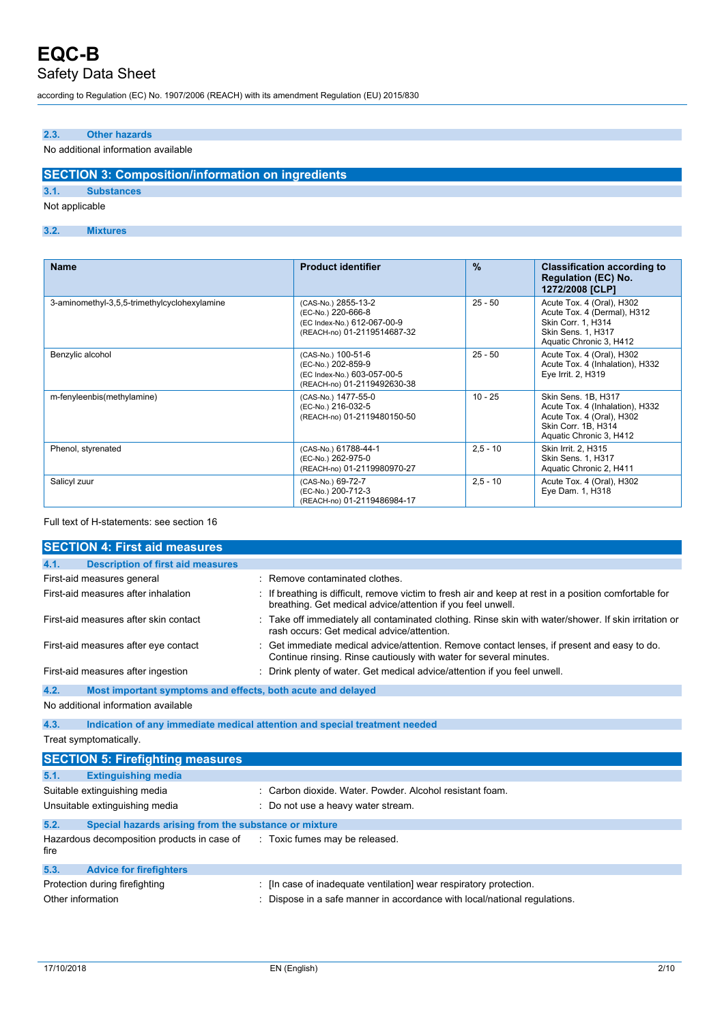according to Regulation (EC) No. 1907/2006 (REACH) with its amendment Regulation (EU) 2015/830

#### **2.3. Other hazards**

#### No additional information available

### **SECTION 3: Composition/information on ingredients**

#### **3.1. Substances**

Not applicable

#### **3.2. Mixtures**

| <b>Name</b>                                  | <b>Product identifier</b>                                                                               | $\frac{9}{6}$ | <b>Classification according to</b><br><b>Regulation (EC) No.</b><br>1272/2008 [CLP]                                                   |
|----------------------------------------------|---------------------------------------------------------------------------------------------------------|---------------|---------------------------------------------------------------------------------------------------------------------------------------|
| 3-aminomethyl-3,5,5-trimethylcyclohexylamine | (CAS-No.) 2855-13-2<br>(EC-No.) 220-666-8<br>(EC Index-No.) 612-067-00-9<br>(REACH-no) 01-2119514687-32 | $25 - 50$     | Acute Tox. 4 (Oral), H302<br>Acute Tox. 4 (Dermal), H312<br>Skin Corr. 1, H314<br>Skin Sens. 1, H317<br>Aquatic Chronic 3, H412       |
| Benzylic alcohol                             | (CAS-No.) 100-51-6<br>(EC-No.) 202-859-9<br>(EC Index-No.) 603-057-00-5<br>(REACH-no) 01-2119492630-38  | $25 - 50$     | Acute Tox. 4 (Oral), H302<br>Acute Tox. 4 (Inhalation), H332<br>Eye Irrit. 2, H319                                                    |
| m-fenyleenbis(methylamine)                   | (CAS-No.) 1477-55-0<br>(EC-No.) 216-032-5<br>(REACH-no) 01-2119480150-50                                | $10 - 25$     | Skin Sens, 1B, H317<br>Acute Tox. 4 (Inhalation), H332<br>Acute Tox. 4 (Oral), H302<br>Skin Corr. 1B, H314<br>Aquatic Chronic 3, H412 |
| Phenol, styrenated                           | (CAS-No.) 61788-44-1<br>(EC-No.) 262-975-0<br>(REACH-no) 01-2119980970-27                               | $2,5 - 10$    | Skin Irrit. 2, H315<br>Skin Sens. 1, H317<br>Aquatic Chronic 2, H411                                                                  |
| Salicyl zuur                                 | (CAS-No.) 69-72-7<br>(EC-No.) 200-712-3<br>(REACH-no) 01-2119486984-17                                  | $2,5 - 10$    | Acute Tox. 4 (Oral), H302<br>Eye Dam. 1, H318                                                                                         |

#### Full text of H-statements: see section 16

| <b>SECTION 4: First aid measures</b>                                |                                                                                                                                                                     |
|---------------------------------------------------------------------|---------------------------------------------------------------------------------------------------------------------------------------------------------------------|
| <b>Description of first aid measures</b><br>4.1.                    |                                                                                                                                                                     |
| First-aid measures general                                          | Remove contaminated clothes.                                                                                                                                        |
| First-aid measures after inhalation                                 | If breathing is difficult, remove victim to fresh air and keep at rest in a position comfortable for<br>breathing. Get medical advice/attention if you feel unwell. |
| First-aid measures after skin contact                               | Take off immediately all contaminated clothing. Rinse skin with water/shower. If skin irritation or<br>rash occurs: Get medical advice/attention.                   |
| First-aid measures after eye contact                                | Get immediate medical advice/attention. Remove contact lenses, if present and easy to do.<br>Continue rinsing. Rinse cautiously with water for several minutes.     |
| First-aid measures after ingestion                                  | Drink plenty of water. Get medical advice/attention if you feel unwell.                                                                                             |
| 4.2.<br>Most important symptoms and effects, both acute and delayed |                                                                                                                                                                     |
| No additional information available                                 |                                                                                                                                                                     |
| 4.3.                                                                | Indication of any immediate medical attention and special treatment needed                                                                                          |
| Treat symptomatically.                                              |                                                                                                                                                                     |
| <b>SECTION 5: Firefighting measures</b>                             |                                                                                                                                                                     |
| <b>Extinguishing media</b><br>5.1.                                  |                                                                                                                                                                     |
| Suitable extinguishing media                                        | : Carbon dioxide, Water, Powder, Alcohol resistant foam.                                                                                                            |
| Unsuitable extinguishing media                                      | : Do not use a heavy water stream.                                                                                                                                  |
| Special hazards arising from the substance or mixture<br>5.2.       |                                                                                                                                                                     |
| Hazardous decomposition products in case of<br>fire                 | : Toxic fumes may be released.                                                                                                                                      |
| 5.3.<br><b>Advice for firefighters</b>                              |                                                                                                                                                                     |
| Protection during firefighting                                      | : [In case of inadequate ventilation] wear respiratory protection.                                                                                                  |
| Other information                                                   | Dispose in a safe manner in accordance with local/national regulations.                                                                                             |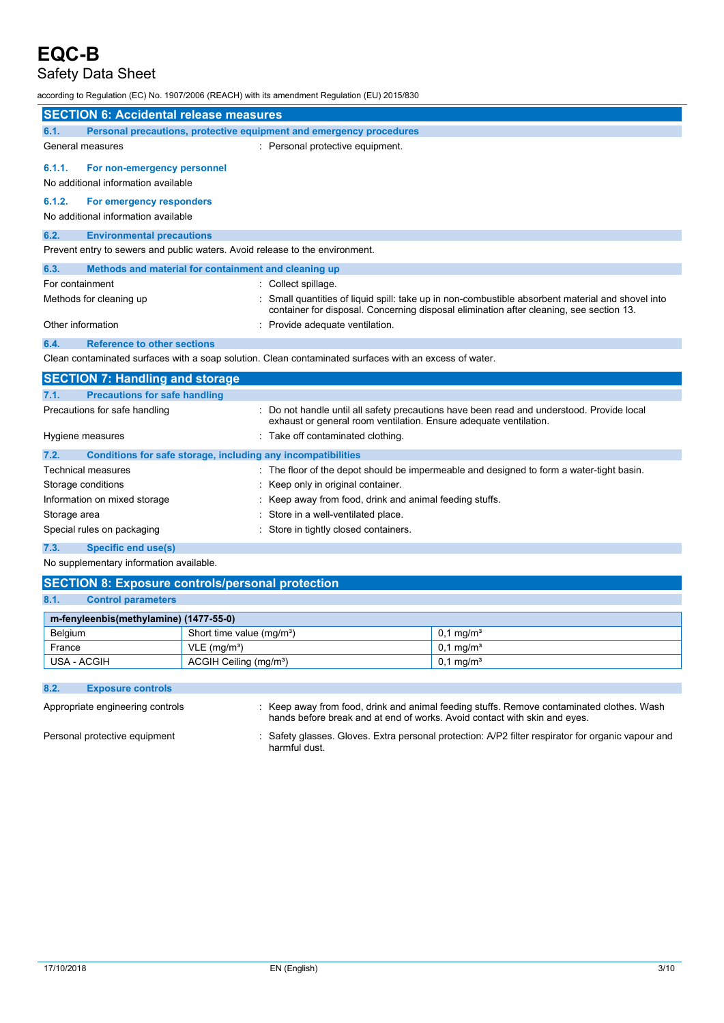### Safety Data Sheet

according to Regulation (EC) No. 1907/2006 (REACH) with its amendment Regulation (EU) 2015/830

| <b>SECTION 6: Accidental release measures</b> |                                                                              |                                                                                                                                                                                            |  |
|-----------------------------------------------|------------------------------------------------------------------------------|--------------------------------------------------------------------------------------------------------------------------------------------------------------------------------------------|--|
| 6.1.                                          | Personal precautions, protective equipment and emergency procedures          |                                                                                                                                                                                            |  |
|                                               | General measures                                                             | : Personal protective equipment.                                                                                                                                                           |  |
| 6.1.1.                                        | For non-emergency personnel                                                  |                                                                                                                                                                                            |  |
|                                               | No additional information available                                          |                                                                                                                                                                                            |  |
| 6.1.2.                                        | For emergency responders                                                     |                                                                                                                                                                                            |  |
|                                               | No additional information available                                          |                                                                                                                                                                                            |  |
| 6.2.                                          | <b>Environmental precautions</b>                                             |                                                                                                                                                                                            |  |
|                                               | Prevent entry to sewers and public waters. Avoid release to the environment. |                                                                                                                                                                                            |  |
| 6.3.                                          | Methods and material for containment and cleaning up                         |                                                                                                                                                                                            |  |
| For containment                               |                                                                              | Collect spillage.                                                                                                                                                                          |  |
|                                               | Methods for cleaning up                                                      | Small quantities of liquid spill: take up in non-combustible absorbent material and shovel into<br>container for disposal. Concerning disposal elimination after cleaning, see section 13. |  |
| Other information                             |                                                                              | Provide adequate ventilation.                                                                                                                                                              |  |
| 6.4.                                          | <b>Reference to other sections</b>                                           |                                                                                                                                                                                            |  |
|                                               |                                                                              | Clean contaminated surfaces with a soap solution. Clean contaminated surfaces with an excess of water.                                                                                     |  |
|                                               | <b>SECTION 7: Handling and storage</b>                                       |                                                                                                                                                                                            |  |
| 7.1.                                          | <b>Precautions for safe handling</b>                                         |                                                                                                                                                                                            |  |
|                                               | Precautions for safe handling                                                | : Do not handle until all safety precautions have been read and understood. Provide local<br>exhaust or general room ventilation. Ensure adequate ventilation.                             |  |
|                                               | Hygiene measures                                                             | Take off contaminated clothing.                                                                                                                                                            |  |
| 7.2.                                          | Conditions for safe storage, including any incompatibilities                 |                                                                                                                                                                                            |  |
|                                               | <b>Technical measures</b>                                                    | : The floor of the depot should be impermeable and designed to form a water-tight basin.                                                                                                   |  |
|                                               | Storage conditions                                                           | Keep only in original container.                                                                                                                                                           |  |
|                                               | Information on mixed storage                                                 | Keep away from food, drink and animal feeding stuffs.                                                                                                                                      |  |
| Storage area                                  |                                                                              | Store in a well-ventilated place.                                                                                                                                                          |  |
|                                               | Special rules on packaging                                                   | Store in tightly closed containers.                                                                                                                                                        |  |

**7.3. Specific end use(s)**

No supplementary information available.

| <b>SECTION 8: Exposure controls/personal protection</b> |                                       |                         |  |  |  |
|---------------------------------------------------------|---------------------------------------|-------------------------|--|--|--|
| 8.1.<br><b>Control parameters</b>                       |                                       |                         |  |  |  |
| m-fenyleenbis(methylamine) (1477-55-0)                  |                                       |                         |  |  |  |
| Belgium                                                 | Short time value (mg/m <sup>3</sup> ) | $0.1 \,\mathrm{mq/m^3}$ |  |  |  |
| France                                                  | $VLE$ (mg/m <sup>3</sup> )            | $0.1 \,\mathrm{mq/m^3}$ |  |  |  |
| USA - ACGIH                                             | ACGIH Ceiling (mg/m <sup>3</sup> )    | $0.1 \,\mathrm{mq/m^3}$ |  |  |  |

### **8.2. Exposure controls**

| Appropriate engineering controls | : Keep away from food, drink and animal feeding stuffs. Remove contaminated clothes. Wash<br>hands before break and at end of works. Avoid contact with skin and eyes. |
|----------------------------------|------------------------------------------------------------------------------------------------------------------------------------------------------------------------|
| Personal protective equipment    | Safety glasses. Gloves. Extra personal protection: A/P2 filter respirator for organic vapour and<br>harmful dust.                                                      |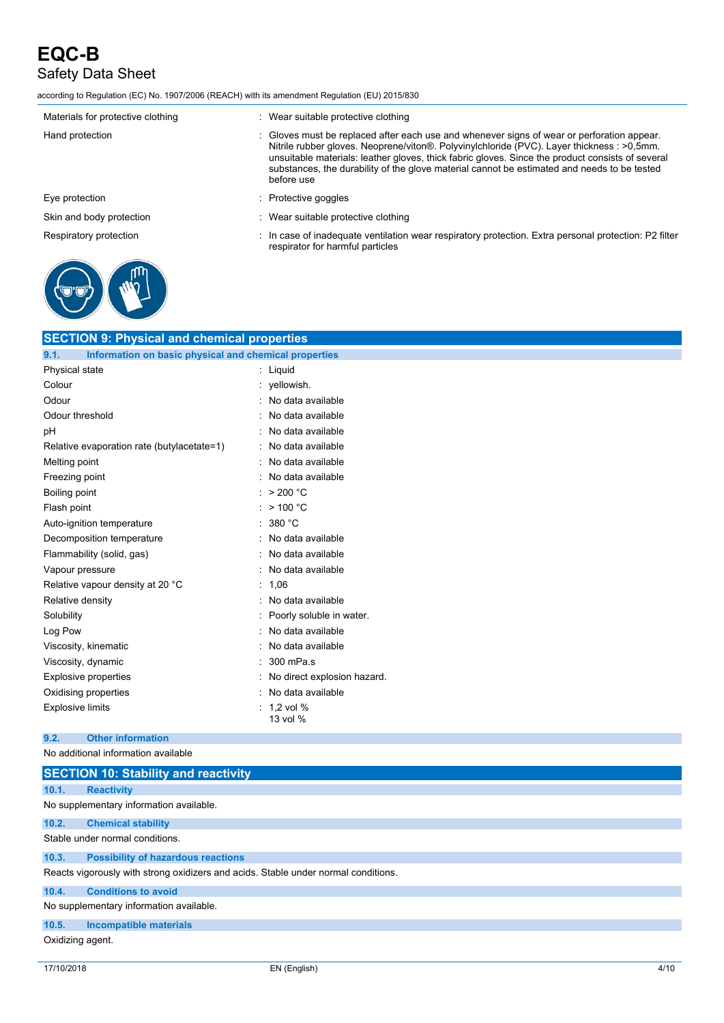according to Regulation (EC) No. 1907/2006 (REACH) with its amendment Regulation (EU) 2015/830

| Materials for protective clothing | : Wear suitable protective clothing                                                                                                                                                                                                                                                                                                                                                                       |
|-----------------------------------|-----------------------------------------------------------------------------------------------------------------------------------------------------------------------------------------------------------------------------------------------------------------------------------------------------------------------------------------------------------------------------------------------------------|
| Hand protection                   | : Gloves must be replaced after each use and whenever signs of wear or perforation appear.<br>Nitrile rubber gloves. Neoprene/viton®. Polyvinylchloride (PVC). Layer thickness : >0,5mm.<br>unsuitable materials: leather gloves, thick fabric gloves. Since the product consists of several<br>substances, the durability of the glove material cannot be estimated and needs to be tested<br>before use |
| Eye protection                    | $:$ Protective goggles                                                                                                                                                                                                                                                                                                                                                                                    |
| Skin and body protection          | : Wear suitable protective clothing                                                                                                                                                                                                                                                                                                                                                                       |
| Respiratory protection            | : In case of inadequate ventilation wear respiratory protection. Extra personal protection: P2 filter<br>respirator for harmful particles                                                                                                                                                                                                                                                                 |



| <b>SECTION 9: Physical and chemical properties</b>            |                             |  |
|---------------------------------------------------------------|-----------------------------|--|
| 9.1.<br>Information on basic physical and chemical properties |                             |  |
| Physical state                                                | : Liquid                    |  |
| Colour                                                        | : yellowish.                |  |
| Odour                                                         | : No data available         |  |
| Odour threshold                                               | : No data available         |  |
| pH                                                            | : No data available         |  |
| Relative evaporation rate (butylacetate=1)                    | : No data available         |  |
| Melting point                                                 | : No data available         |  |
| Freezing point                                                | No data available           |  |
| Boiling point                                                 | : $> 200 °C$                |  |
| Flash point                                                   | : $> 100 °C$                |  |
| Auto-ignition temperature                                     | : 380 °C                    |  |
| Decomposition temperature                                     | : No data available         |  |
| Flammability (solid, gas)                                     | : No data available         |  |
| Vapour pressure                                               | : No data available         |  |
| Relative vapour density at 20 °C                              | : $1,06$                    |  |
| Relative density                                              | : No data available         |  |
| Solubility                                                    | Poorly soluble in water.    |  |
| Log Pow                                                       | No data available           |  |
| Viscosity, kinematic                                          | No data available           |  |
| Viscosity, dynamic                                            | 300 mPa.s                   |  |
| <b>Explosive properties</b>                                   | No direct explosion hazard. |  |
| Oxidising properties                                          | No data available           |  |
| <b>Explosive limits</b>                                       | 1,2 vol %<br>13 vol %       |  |

### **9.2. Other information**

No additional information available

|                  | <b>SECTION 10: Stability and reactivity</b>                                        |
|------------------|------------------------------------------------------------------------------------|
| 10.1.            | <b>Reactivity</b>                                                                  |
|                  | No supplementary information available.                                            |
| 10.2.            | <b>Chemical stability</b>                                                          |
|                  | Stable under normal conditions.                                                    |
| 10.3.            | <b>Possibility of hazardous reactions</b>                                          |
|                  | Reacts vigorously with strong oxidizers and acids. Stable under normal conditions. |
| 10.4.            | <b>Conditions to avoid</b>                                                         |
|                  | No supplementary information available.                                            |
| 10.5.            | <b>Incompatible materials</b>                                                      |
| Oxidizing agent. |                                                                                    |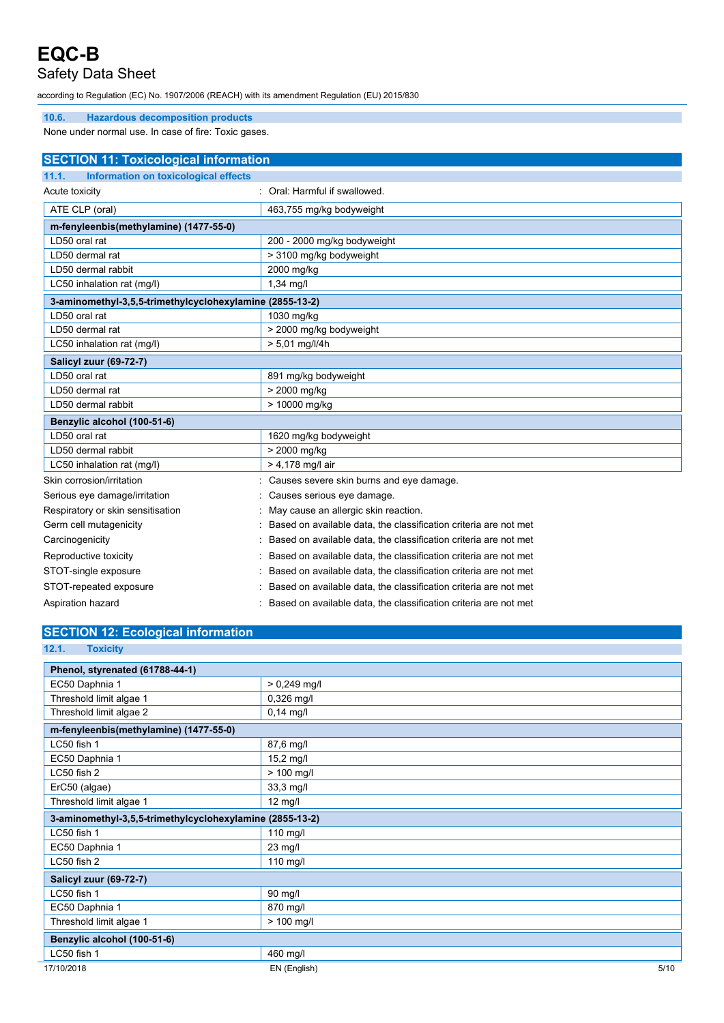### Safety Data Sheet

according to Regulation (EC) No. 1907/2006 (REACH) with its amendment Regulation (EU) 2015/830

#### **10.6. Hazardous decomposition products**

None under normal use. In case of fire: Toxic gases.

| <b>SECTION 11: Toxicological information</b>             |                                                                  |  |
|----------------------------------------------------------|------------------------------------------------------------------|--|
| Information on toxicological effects<br>11.1.            |                                                                  |  |
| Acute toxicity                                           | : Oral: Harmful if swallowed.                                    |  |
| ATE CLP (oral)                                           | 463,755 mg/kg bodyweight                                         |  |
| m-fenyleenbis(methylamine) (1477-55-0)                   |                                                                  |  |
| LD50 oral rat                                            | 200 - 2000 mg/kg bodyweight                                      |  |
| LD50 dermal rat                                          | > 3100 mg/kg bodyweight                                          |  |
| LD50 dermal rabbit                                       | 2000 mg/kg                                                       |  |
| LC50 inhalation rat (mg/l)                               | $1,34$ mg/l                                                      |  |
| 3-aminomethyl-3,5,5-trimethylcyclohexylamine (2855-13-2) |                                                                  |  |
| LD50 oral rat                                            | 1030 mg/kg                                                       |  |
| LD50 dermal rat                                          | > 2000 mg/kg bodyweight                                          |  |
| LC50 inhalation rat (mg/l)                               | > 5,01 mg/l/4h                                                   |  |
| Salicyl zuur (69-72-7)                                   |                                                                  |  |
| LD50 oral rat                                            | 891 mg/kg bodyweight                                             |  |
| LD50 dermal rat                                          | > 2000 mg/kg                                                     |  |
| LD50 dermal rabbit                                       | > 10000 mg/kg                                                    |  |
| Benzylic alcohol (100-51-6)                              |                                                                  |  |
| LD50 oral rat                                            | 1620 mg/kg bodyweight                                            |  |
| LD50 dermal rabbit                                       | > 2000 mg/kg                                                     |  |
| LC50 inhalation rat (mg/l)                               | > 4,178 mg/l air                                                 |  |
| Skin corrosion/irritation                                | Causes severe skin burns and eye damage.                         |  |
| Serious eye damage/irritation                            | Causes serious eye damage.                                       |  |
| Respiratory or skin sensitisation                        | May cause an allergic skin reaction.                             |  |
| Germ cell mutagenicity                                   | Based on available data, the classification criteria are not met |  |
| Carcinogenicity                                          | Based on available data, the classification criteria are not met |  |
| Reproductive toxicity                                    | Based on available data, the classification criteria are not met |  |
| STOT-single exposure                                     | Based on available data, the classification criteria are not met |  |
| STOT-repeated exposure                                   | Based on available data, the classification criteria are not met |  |

#### Aspiration hazard **in a state of the classification criteria are not met**  $\cdot$  Based on available data, the classification criteria are not met

|  |  |  |  | <b>SECTION 12: Ecological information</b> |  |
|--|--|--|--|-------------------------------------------|--|
|  |  |  |  |                                           |  |

| <u>ULUTION TE. LUURGIUGI IIIIUITIIGIIUIT</u>             |                |      |
|----------------------------------------------------------|----------------|------|
| 12.1.<br><b>Toxicity</b>                                 |                |      |
| Phenol, styrenated (61788-44-1)                          |                |      |
| EC50 Daphnia 1                                           | $> 0,249$ mg/l |      |
| Threshold limit algae 1                                  | 0,326 mg/l     |      |
| Threshold limit algae 2                                  | $0,14$ mg/l    |      |
| m-fenyleenbis(methylamine) (1477-55-0)                   |                |      |
| LC50 fish 1                                              | 87,6 mg/l      |      |
| EC50 Daphnia 1                                           | 15,2 mg/l      |      |
| LC50 fish 2                                              | $> 100$ mg/l   |      |
| ErC50 (algae)                                            | 33,3 mg/l      |      |
| Threshold limit algae 1                                  | 12 mg/l        |      |
| 3-aminomethyl-3,5,5-trimethylcyclohexylamine (2855-13-2) |                |      |
| LC50 fish 1                                              | 110 mg/l       |      |
| EC50 Daphnia 1                                           | 23 mg/l        |      |
| LC50 fish 2                                              | $110$ mg/l     |      |
| <b>Salicyl zuur (69-72-7)</b>                            |                |      |
| LC50 fish 1                                              | 90 mg/l        |      |
| EC50 Daphnia 1                                           | 870 mg/l       |      |
| Threshold limit algae 1                                  | $> 100$ mg/l   |      |
| Benzylic alcohol (100-51-6)                              |                |      |
| LC50 fish 1                                              | 460 mg/l       |      |
| 17/10/2018                                               | EN (English)   | 5/10 |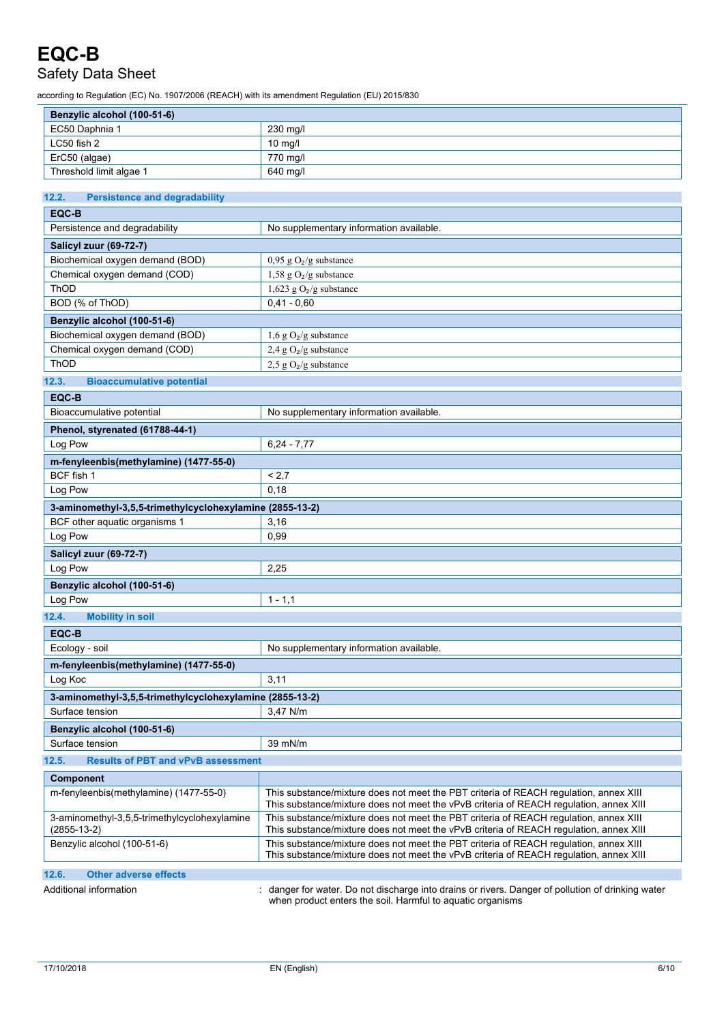## Safety Data Sheet

according to Regulation (EC) No. 1907/2006 (REACH) with its amendment Regulation (EU) 2015/830

| ccording to Regulation (EC) No. 1907/2006 (REACH) with its amendment Regulation (EU) 2015/830                                                |                                                                                                                                                                                 |  |  |  |
|----------------------------------------------------------------------------------------------------------------------------------------------|---------------------------------------------------------------------------------------------------------------------------------------------------------------------------------|--|--|--|
| Benzylic alcohol (100-51-6)                                                                                                                  |                                                                                                                                                                                 |  |  |  |
| EC50 Daphnia 1                                                                                                                               | 230 mg/l                                                                                                                                                                        |  |  |  |
| LC50 fish 2                                                                                                                                  | 10 mg/l                                                                                                                                                                         |  |  |  |
| ErC50 (algae)                                                                                                                                | 770 mg/l                                                                                                                                                                        |  |  |  |
| Threshold limit algae 1                                                                                                                      | 640 mg/l                                                                                                                                                                        |  |  |  |
|                                                                                                                                              |                                                                                                                                                                                 |  |  |  |
| 12.2.<br><b>Persistence and degradability</b>                                                                                                |                                                                                                                                                                                 |  |  |  |
| EQC-B                                                                                                                                        |                                                                                                                                                                                 |  |  |  |
| Persistence and degradability                                                                                                                | No supplementary information available.                                                                                                                                         |  |  |  |
| Salicyl zuur (69-72-7)                                                                                                                       |                                                                                                                                                                                 |  |  |  |
| Biochemical oxygen demand (BOD)                                                                                                              | $0,95 \text{ g O}_2\text{/g substance}$                                                                                                                                         |  |  |  |
| Chemical oxygen demand (COD)                                                                                                                 | 1,58 g $O_2/g$ substance                                                                                                                                                        |  |  |  |
| ThOD                                                                                                                                         | 1,623 g $O_2/g$ substance                                                                                                                                                       |  |  |  |
| BOD (% of ThOD)                                                                                                                              | $0.41 - 0.60$                                                                                                                                                                   |  |  |  |
| Benzylic alcohol (100-51-6)                                                                                                                  |                                                                                                                                                                                 |  |  |  |
| Biochemical oxygen demand (BOD)                                                                                                              | $1,6$ g O <sub>2</sub> /g substance                                                                                                                                             |  |  |  |
| Chemical oxygen demand (COD)                                                                                                                 | 2,4 g $O_2/g$ substance                                                                                                                                                         |  |  |  |
| ThOD                                                                                                                                         | 2,5 g $O_2/g$ substance                                                                                                                                                         |  |  |  |
| 12.3.<br><b>Bioaccumulative potential</b>                                                                                                    |                                                                                                                                                                                 |  |  |  |
|                                                                                                                                              |                                                                                                                                                                                 |  |  |  |
| EQC-B                                                                                                                                        |                                                                                                                                                                                 |  |  |  |
| Bioaccumulative potential                                                                                                                    | No supplementary information available.                                                                                                                                         |  |  |  |
| Phenol, styrenated (61788-44-1)                                                                                                              |                                                                                                                                                                                 |  |  |  |
| Log Pow<br>$6,24 - 7,77$                                                                                                                     |                                                                                                                                                                                 |  |  |  |
| m-fenyleenbis(methylamine) (1477-55-0)                                                                                                       |                                                                                                                                                                                 |  |  |  |
| BCF fish 1                                                                                                                                   | < 2,7                                                                                                                                                                           |  |  |  |
| Log Pow                                                                                                                                      | 0,18                                                                                                                                                                            |  |  |  |
| 3-aminomethyl-3,5,5-trimethylcyclohexylamine (2855-13-2)                                                                                     |                                                                                                                                                                                 |  |  |  |
| BCF other aquatic organisms 1                                                                                                                | 3,16                                                                                                                                                                            |  |  |  |
| Log Pow                                                                                                                                      | 0,99                                                                                                                                                                            |  |  |  |
| <b>Salicyl zuur (69-72-7)</b>                                                                                                                |                                                                                                                                                                                 |  |  |  |
| Log Pow<br>2,25                                                                                                                              |                                                                                                                                                                                 |  |  |  |
| Benzylic alcohol (100-51-6)                                                                                                                  |                                                                                                                                                                                 |  |  |  |
| Log Pow                                                                                                                                      | $1 - 1,1$                                                                                                                                                                       |  |  |  |
|                                                                                                                                              |                                                                                                                                                                                 |  |  |  |
| 12.4.<br><b>Mobility in soil</b>                                                                                                             |                                                                                                                                                                                 |  |  |  |
| EQC-B                                                                                                                                        |                                                                                                                                                                                 |  |  |  |
| Ecology - soil                                                                                                                               | No supplementary information available.                                                                                                                                         |  |  |  |
| m-fenyleenbis(methylamine) (1477-55-0)                                                                                                       |                                                                                                                                                                                 |  |  |  |
| 3,11<br>Log Koc                                                                                                                              |                                                                                                                                                                                 |  |  |  |
| 3-aminomethyl-3,5,5-trimethylcyclohexylamine (2855-13-2)                                                                                     |                                                                                                                                                                                 |  |  |  |
| Surface tension                                                                                                                              | 3.47 N/m                                                                                                                                                                        |  |  |  |
| Benzylic alcohol (100-51-6)                                                                                                                  |                                                                                                                                                                                 |  |  |  |
| Surface tension<br>39 mN/m                                                                                                                   |                                                                                                                                                                                 |  |  |  |
| 12.5.<br><b>Results of PBT and vPvB assessment</b>                                                                                           |                                                                                                                                                                                 |  |  |  |
|                                                                                                                                              |                                                                                                                                                                                 |  |  |  |
| Component<br>m-fenyleenbis(methylamine) (1477-55-0)<br>This substance/mixture does not meet the PBT criteria of REACH requlation, annex XIII |                                                                                                                                                                                 |  |  |  |
|                                                                                                                                              | This substance/mixture does not meet the vPvB criteria of REACH regulation, annex XIII                                                                                          |  |  |  |
| 3-aminomethyl-3,5,5-trimethylcyclohexylamine<br>(2855-13-2)                                                                                  | This substance/mixture does not meet the PBT criteria of REACH regulation, annex XIII<br>This substance/mixture does not meet the vPvB criteria of REACH regulation, annex XIII |  |  |  |

**12.6. Other adverse effects**

Additional information : danger for water. Do not discharge into drains or rivers. Danger of pollution of drinking water when product enters the soil. Harmful to aquatic organisms

This substance/mixture does not meet the vPvB criteria of REACH regulation, annex XIII

Benzylic alcohol (100-51-6) This substance/mixture does not meet the PBT criteria of REACH regulation, annex XIII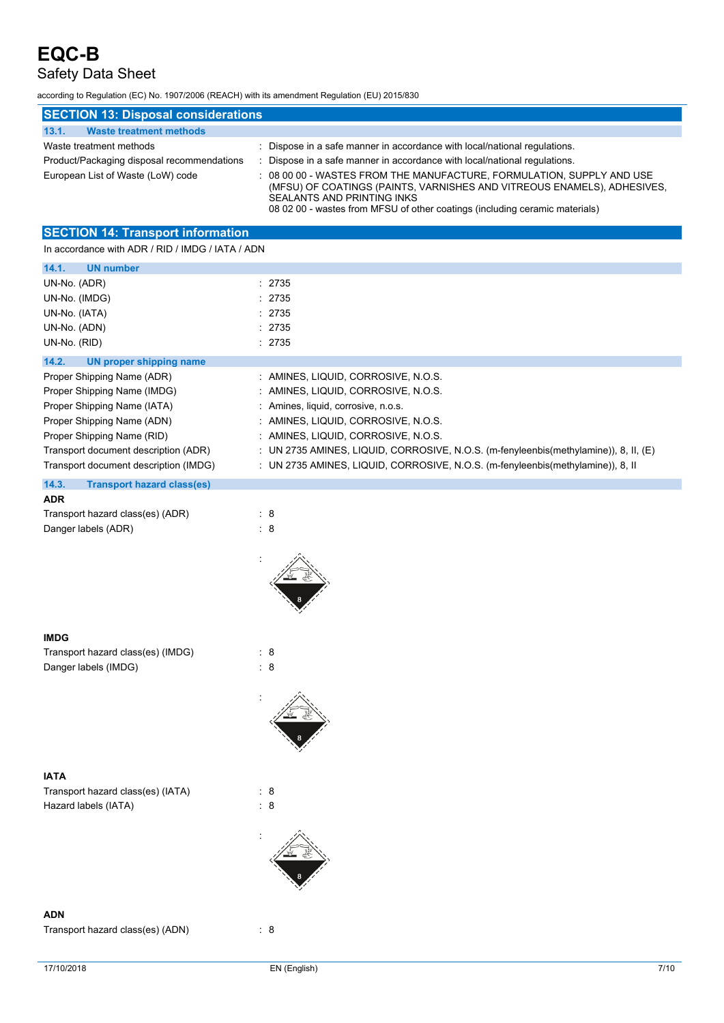## Safety Data Sheet

according to Regulation (EC) No. 1907/2006 (REACH) with its amendment Regulation (EU) 2015/830

| <b>SECTION 13: Disposal considerations</b> |                                                                                                                                                                                                                                                               |  |  |  |
|--------------------------------------------|---------------------------------------------------------------------------------------------------------------------------------------------------------------------------------------------------------------------------------------------------------------|--|--|--|
| 13.1.<br><b>Waste treatment methods</b>    |                                                                                                                                                                                                                                                               |  |  |  |
| Waste treatment methods                    | : Dispose in a safe manner in accordance with local/national regulations.                                                                                                                                                                                     |  |  |  |
| Product/Packaging disposal recommendations | Dispose in a safe manner in accordance with local/national regulations.                                                                                                                                                                                       |  |  |  |
| European List of Waste (LoW) code          | : 08 00 00 - WASTES FROM THE MANUFACTURE, FORMULATION, SUPPLY AND USE<br>(MFSU) OF COATINGS (PAINTS, VARNISHES AND VITREOUS ENAMELS), ADHESIVES,<br>SEALANTS AND PRINTING INKS<br>08 02 00 - wastes from MFSU of other coatings (including ceramic materials) |  |  |  |

### **SECTION 14: Transport information**

In accordance with ADR / RID / IMDG / IATA / ADN

| <b>UN number</b><br>14.1.                                                                                      |                                                                                      |
|----------------------------------------------------------------------------------------------------------------|--------------------------------------------------------------------------------------|
| UN-No. (ADR)                                                                                                   | : 2735                                                                               |
| UN-No. (IMDG)                                                                                                  | : 2735                                                                               |
| UN-No. (IATA)                                                                                                  | : 2735                                                                               |
| UN-No. (ADN)                                                                                                   | : 2735                                                                               |
| UN-No. (RID)                                                                                                   | : 2735                                                                               |
| 14.2.<br>UN proper shipping name                                                                               |                                                                                      |
| Proper Shipping Name (ADR)                                                                                     | : AMINES, LIQUID, CORROSIVE, N.O.S.                                                  |
| Proper Shipping Name (IMDG)                                                                                    | : AMINES, LIQUID, CORROSIVE, N.O.S.                                                  |
| Proper Shipping Name (IATA)                                                                                    | : Amines, liquid, corrosive, n.o.s.                                                  |
| Proper Shipping Name (ADN)                                                                                     | : AMINES, LIQUID, CORROSIVE, N.O.S.                                                  |
| Proper Shipping Name (RID)                                                                                     | : AMINES, LIQUID, CORROSIVE, N.O.S.                                                  |
| Transport document description (ADR)                                                                           | : UN 2735 AMINES, LIQUID, CORROSIVE, N.O.S. (m-fenyleenbis(methylamine)), 8, II, (E) |
| Transport document description (IMDG)                                                                          | : UN 2735 AMINES, LIQUID, CORROSIVE, N.O.S. (m-fenyleenbis(methylamine)), 8, II      |
| 14.3.<br><b>Transport hazard class(es)</b>                                                                     |                                                                                      |
| <b>ADR</b>                                                                                                     |                                                                                      |
| $T_{\text{reduced}}$ is a set of $\epsilon$ of $\epsilon$ and $\epsilon$ $\epsilon$ (set of $\epsilon$ ) (ADD) |                                                                                      |

| <i></i>                          |     |
|----------------------------------|-----|
| Transport hazard class(es) (ADR) | : 8 |
| Danger labels (ADR)              | - 8 |



:

| Transport hazard class(es) (IMDG) | : 8 |
|-----------------------------------|-----|
| Danger labels (IMDG)              | : 8 |



Transport hazard class(es) (IATA) : 8 Hazard labels (IATA) : 8



#### **ADN**

Transport hazard class(es) (ADN) : 8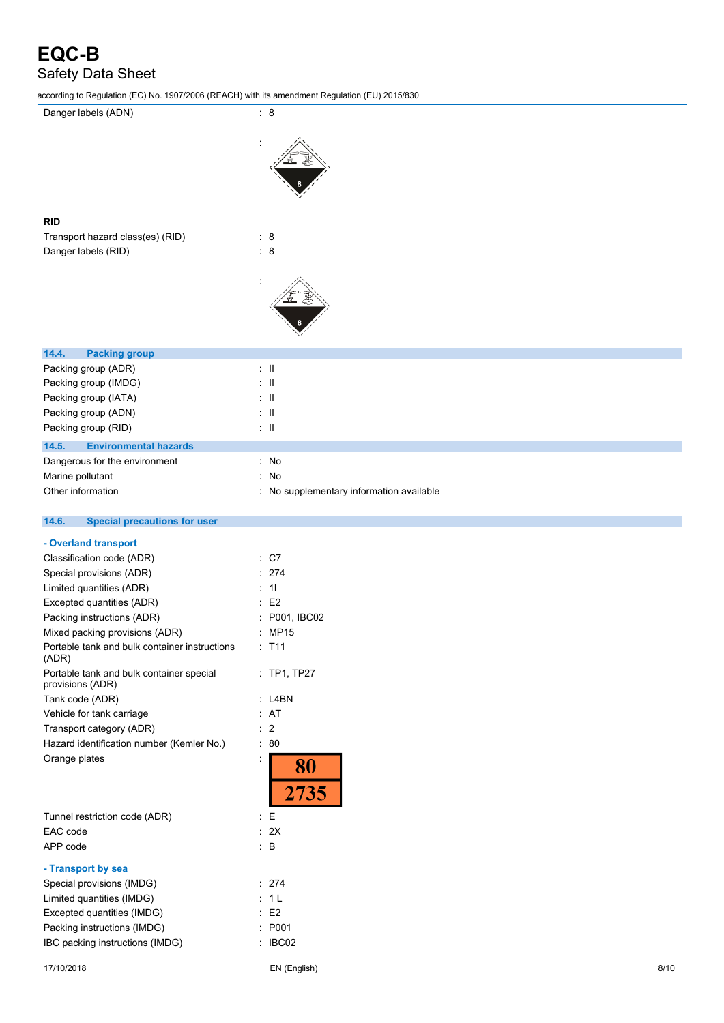according to Regulation (EC) No. 1907/2006 (REACH) with its amendment Regulation (EU) 2015/830

:

| Danger labels (ADN) |  |
|---------------------|--|
|                     |  |



| Transport hazard class(es) (RID) |     | - 8 |
|----------------------------------|-----|-----|
| Danger labels (RID)              | : 8 |     |





| 14.6. | <b>Special precautions for user</b> |
|-------|-------------------------------------|

| - Overland transport                                         |                     |
|--------------------------------------------------------------|---------------------|
| Classification code (ADR)                                    | $\cdot$ C7          |
| Special provisions (ADR)                                     | 274                 |
| Limited quantities (ADR)                                     | 11                  |
| Excepted quantities (ADR)                                    | F <sub>2</sub>      |
| Packing instructions (ADR)                                   | P001, IBC02         |
| Mixed packing provisions (ADR)                               | <b>MP15</b>         |
| Portable tank and bulk container instructions<br>(ADR)       | $·$ T <sub>11</sub> |
| Portable tank and bulk container special<br>provisions (ADR) | $:$ TP1, TP27       |
| Tank code (ADR)                                              | I 4RN               |
| Vehicle for tank carriage                                    | AT                  |
| Transport category (ADR)                                     | 2                   |
| Hazard identification number (Kemler No.)                    | 80                  |
| Orange plates                                                |                     |
|                                                              | 2735                |
| Tunnel restriction code (ADR)                                | F                   |
| EAC code                                                     | 2Χ                  |
| APP code                                                     | в                   |
|                                                              |                     |

| - Transport by sea              |                 |
|---------------------------------|-----------------|
| Special provisions (IMDG)       | $\therefore$ 27 |
| Limited quantities (IMDG)       | : 1 L           |
| Excepted quantities (IMDG)      | : E2            |
| Packing instructions (IMDG)     | : P0            |
| IBC packing instructions (IMDG) | IB)             |

 $\therefore$  274  $: 1 L$ 

 $P_{001}$ : IBC02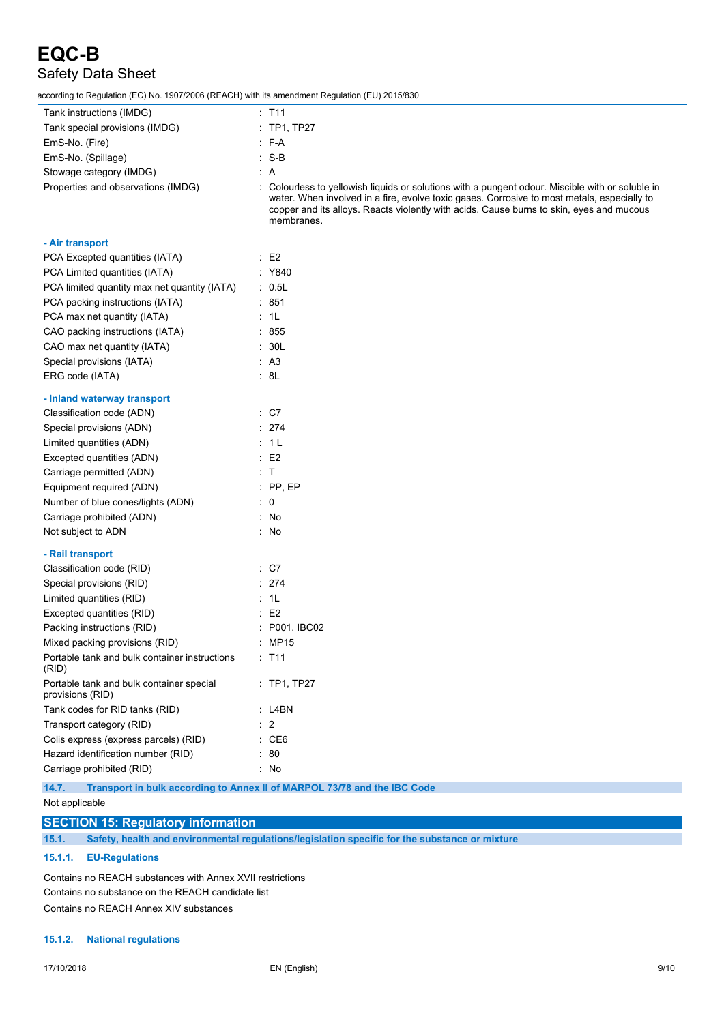according to Regulation (EC) No. 1907/2006 (REACH) with its amendment Regulation (EU) 2015/830

| iccording to Regulation (EC) No. 1907/2006 (REACH) with its amendment Regulation (EU) 2015/830 |                                                                                                                                                                                                                                                                                                           |
|------------------------------------------------------------------------------------------------|-----------------------------------------------------------------------------------------------------------------------------------------------------------------------------------------------------------------------------------------------------------------------------------------------------------|
| Tank instructions (IMDG)                                                                       | $:$ T <sub>11</sub>                                                                                                                                                                                                                                                                                       |
| Tank special provisions (IMDG)                                                                 | : TP1, TP27                                                                                                                                                                                                                                                                                               |
| EmS-No. (Fire)                                                                                 | $\therefore$ F-A                                                                                                                                                                                                                                                                                          |
| EmS-No. (Spillage)                                                                             | $: S-B$                                                                                                                                                                                                                                                                                                   |
| Stowage category (IMDG)                                                                        | : A                                                                                                                                                                                                                                                                                                       |
| Properties and observations (IMDG)                                                             | : Colourless to yellowish liquids or solutions with a pungent odour. Miscible with or soluble in<br>water. When involved in a fire, evolve toxic gases. Corrosive to most metals, especially to<br>copper and its alloys. Reacts violently with acids. Cause burns to skin, eyes and mucous<br>membranes. |
| - Air transport                                                                                |                                                                                                                                                                                                                                                                                                           |
| PCA Excepted quantities (IATA)                                                                 | $\therefore$ E2                                                                                                                                                                                                                                                                                           |
| PCA Limited quantities (IATA)                                                                  | : Y840                                                                                                                                                                                                                                                                                                    |
| PCA limited quantity max net quantity (IATA)                                                   | $\cdot$ 0.5L                                                                                                                                                                                                                                                                                              |
| PCA packing instructions (IATA)                                                                | $\therefore$ 851                                                                                                                                                                                                                                                                                          |
| PCA max net quantity (IATA)                                                                    | : 1L                                                                                                                                                                                                                                                                                                      |
| CAO packing instructions (IATA)                                                                | $\frac{1}{2}$ 855                                                                                                                                                                                                                                                                                         |
| CAO max net quantity (IATA)                                                                    | : 30L                                                                                                                                                                                                                                                                                                     |
| Special provisions (IATA)                                                                      | : A3                                                                                                                                                                                                                                                                                                      |
| ERG code (IATA)                                                                                | : 8L                                                                                                                                                                                                                                                                                                      |
| - Inland waterway transport                                                                    |                                                                                                                                                                                                                                                                                                           |
| Classification code (ADN)                                                                      | $\therefore$ C7                                                                                                                                                                                                                                                                                           |
| Special provisions (ADN)                                                                       | : 274                                                                                                                                                                                                                                                                                                     |
| Limited quantities (ADN)                                                                       | : 1 L                                                                                                                                                                                                                                                                                                     |
| Excepted quantities (ADN)                                                                      | $\therefore$ E2                                                                                                                                                                                                                                                                                           |
| Carriage permitted (ADN)                                                                       | : T                                                                                                                                                                                                                                                                                                       |
| Equipment required (ADN)                                                                       | $:$ PP, EP                                                                                                                                                                                                                                                                                                |
| Number of blue cones/lights (ADN)                                                              | $\therefore$ 0                                                                                                                                                                                                                                                                                            |
| Carriage prohibited (ADN)                                                                      | : No                                                                                                                                                                                                                                                                                                      |
| Not subject to ADN                                                                             | : No                                                                                                                                                                                                                                                                                                      |
| - Rail transport                                                                               |                                                                                                                                                                                                                                                                                                           |
| Classification code (RID)                                                                      | $\therefore$ C7                                                                                                                                                                                                                                                                                           |
| Special provisions (RID)                                                                       | $\therefore$ 274                                                                                                                                                                                                                                                                                          |
| Limited quantities (RID)                                                                       | : 1L                                                                                                                                                                                                                                                                                                      |
| Excepted quantities (RID)                                                                      | $\therefore$ E2                                                                                                                                                                                                                                                                                           |
| Packing instructions (RID)                                                                     | : P001, IBC02                                                                                                                                                                                                                                                                                             |
| Mixed packing provisions (RID)                                                                 | MP15                                                                                                                                                                                                                                                                                                      |
| Portable tank and bulk container instructions<br>(RID)                                         | : T11                                                                                                                                                                                                                                                                                                     |
| Portable tank and bulk container special<br>provisions (RID)                                   | : TP1, TP27                                                                                                                                                                                                                                                                                               |
| Tank codes for RID tanks (RID)                                                                 | : L4BN                                                                                                                                                                                                                                                                                                    |
| Transport category (RID)                                                                       | : 2                                                                                                                                                                                                                                                                                                       |
| Colis express (express parcels) (RID)                                                          | : CE6                                                                                                                                                                                                                                                                                                     |
| Hazard identification number (RID)                                                             | 80                                                                                                                                                                                                                                                                                                        |
| Carriage prohibited (RID)                                                                      | : No                                                                                                                                                                                                                                                                                                      |

**14.7. Transport in bulk according to Annex II of MARPOL 73/78 and the IBC Code**

#### **SECTION 15: Regulatory information**

**15.1. Safety, health and environmental regulations/legislation specific for the substance or mixture**

#### **15.1.1. EU-Regulations**

Contains no REACH substances with Annex XVII restrictions Contains no substance on the REACH candidate list Contains no REACH Annex XIV substances

#### **15.1.2. National regulations**

Not applicable